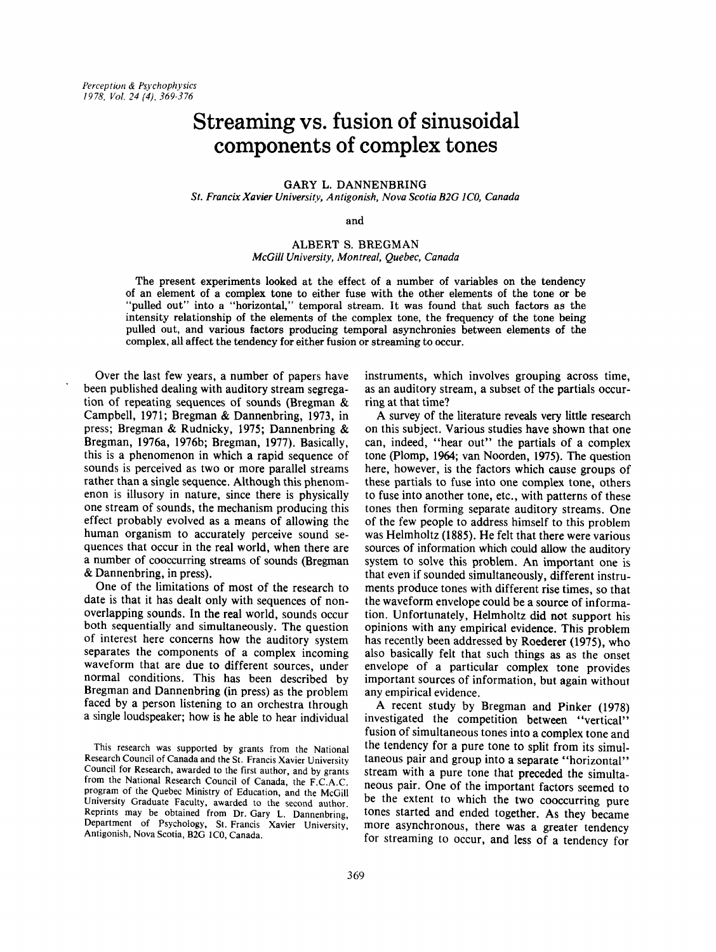# **Streaming vs. fusion of sinusoidal components of complex tones**

**GARY L. DANNENBRING** *St. Francix Xavier University, Antigonish, Nova Scotia B2G ICO, Canada*

and

# ALBERT S. BREGMAN *McGill University, Montreal, Quebec, Canada*

The present experiments looked at the effect of a number of variables on the tendency of an element of a complex tone to either fuse with the other elements of the tone or be "pulled out" into a "horizontal," temporal stream. It was found that such factors as the intensity relationship of the elements of the complex tone, the frequency of the tone being pulled out, and various factors producing temporal asynchronies between elements of the complex, all affect the tendency for either fusion or streaming to occur.

Over the last few years, a number of papers have been published dealing with auditory stream segregation of repeating sequences of sounds (Bregman & Campbell, 1971; Bregman & Dannenbring, 1973, in press; Bregman & Rudnicky, 1975; Dannenbring & Bregman, 1976a, 1976b; Bregman, 1977). Basically, this is a phenomenon in which a rapid sequence of sounds is perceived as two or more parallel streams rather than a single sequence. Although this phenomenon is illusory in nature, since there is physically one stream of sounds, the mechanism producing this effect probably evolved as a means of allowing the human organism to accurately perceive sound sequences that occur in the real world, when there are a number of cooccurring streams of sounds (Bregman & Dannenbring, in press).

One of the limitations of most of the research to date is that it has dealt only with sequences of nonoverlapping sounds. In the real world, sounds occur both sequentially and simultaneously. The question of interest here concerns how the auditory system separates the components of a complex incoming waveform that are due to different sources, under normal conditions. This has been described by Bregman and Dannenbring (in press) as the problem faced by a person listening to an orchestra through a single loudspeaker; how is he able to hear individual instruments, which involves grouping across time, as an auditory stream, a subset of the partials occurring at that time?

A survey of the literature reveals very little research on this subject. Various studies have shown that one can, indeed, "hear out" the partials of a complex tone (Plomp, 1964; van Noorden, 1975). The question here, however, is the factors which cause groups of these partials to fuse into one complex tone, others to fuse into another tone, etc., with patterns of these tones then forming separate auditory streams. One of the few people to address himself to this problem was Helmholtz (1885). He felt that there were various sources of information which could allow the auditory system to solve this problem. An important one is that even if sounded simultaneously, different instruments produce tones with different rise times, so that the waveform envelope could be a source of information. Unfortunately, Helmholtz did not support his opinions with any empirical evidence. This problem has recently been addressed by Roederer (1975), who also basically felt that such things as as the onset envelope of a particular complex tone provides important sources of information, but again without any empirical evidence.

A recent study by Bregman and Pinker (1978) investigated the competition between "vertical" fusion of simultaneous tones into a complex tone and the tendency for a pure tone to split from its simultaneous pair and group into a separate "horizontal" stream with a pure tone that preceded the simultaneous pair. One of the important factors seemed to be the extent to which the two cooccurring pure tones started and ended together. As they became more asynchronous, there was a greater tendency for streaming to occur, and less of a tendency for

This research was supported by grants from the National Research Council of Canada and the St. Francis Xavier University Council for Research, awarded to the first author, and by grants from the National Research Council of Canada, the F.C.A.C. program of the Quebec Ministry of Education, and the McGill University Graduate Faculty, awarded to the second author. Reprints may be obtained from Dr. Gary L. Dannenbring, Department of Psychology, St. Francis Xavier University, Antigonish, Nova Scotia, B2G 1C0, Canada.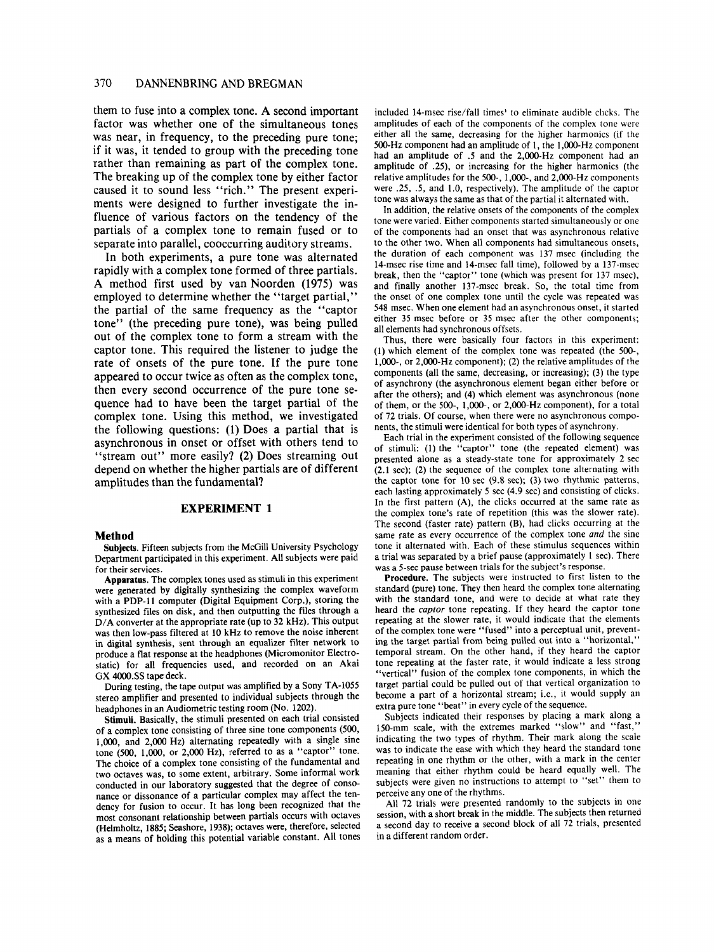# 370 DANNENBRING AND BREGMAN

**them to fuse into a complex tone. A second important factor was whether one of the simultaneous tones was near, in frequency, to the preceding pure tone; if it was, it tended to group with the preceding tone rather than remaining as part of the complex tone. The breaking up of the complex tone by either factor caused it to sound less "rich." The present experiments were designed to further investigate the influence of various factors on the tendency of the partials of a complex tone to remain fused or to separate into parallel, cooccurring auditory streams.**

**In both experiments, a pure tone was alternated rapidly with a complex tone formed of three partials. A method first used by van Noorden (1975) was employed to determine whether the "target partial," the partial of the same frequency as the "captor tone" (the preceding pure tone), was being pulled out of the complex tone to form a stream with the captor tone. This required the listener to judge the rate of onsets of the pure tone. If the pure tone appeared to occur twice as often as the complex tone, then every second occurrence of the pure tone sequence had to have been the target partial of the complex tone. Using this method, we investigated the following questions: (1)Does a partial that is asynchronous in onset or offset with others tend to** "stream out" more easily? (2) Does streaming out **depend on whether the higher partials are of different amplitudes than the fundamental?**

### **EXPERIMENT 1**

### **Method**

Subjects. Fifteen subjects from the McGill University Psychology Department participated in this experiment. All subjects were paid for their services.

**Apparatus.** The complex tones used as stimuli in this experiment were generated by digitally synthesizing the complex waveform with a PDP-11 computer (Digital Equipment Corp.), storing the synthesized files on disk, and then outputting the files through a D/A converter at the appropriate rate (up to 32 kHz). This output was then low-pass filtered at 10 kHz to remove the noise inherent in digital synthesis, sent through an equalizer filter network to produce a flat response at the headphones (Micromonitor Electrostatic) for all frequencies used, and recorded on an Akai GX 4000.SS tape deck.

During testing, the tape output was amplified by a Sony TA-1055 stereo amplifier and presented to individual subjects through the headphones in an Audiometric testing room (No. 1202).

Stimuli. Basically, the stimuli presented on each trial consisted of a complex tone consisting of three sine tone components (500, 1,000, and 2,000 Hz) alternating repeatedly with a single sine tone (500, 1,000, or 2,000 Hz), referred to as a "captor" tone. The choice of a complex tone consisting of the fundamental and two octaves was, to some extent, arbitrary. Some informal work conducted in our laboratory suggested that the degree of consonance or dissonance of a particular complex may affect the tendency for fusion to occur. It has long been recognized that the most consonant relationship between partials occurs with octaves (Helmholtz, 1885; Seashore, 1938); octaves were, therefore, selected as a means of holding this potential variable constant. All tones included 14-msec rise/fall times' to eliminate audible chcks. The amplitudes of each of the components of the complex tone were either all the same, decreasing for the higher harmonics (if the 500-Hz component had an amplitude of 1, the 1,000-Hz component had an amplitude of .5 and the 2,000-Hz component had an amplitude of .25), or increasing for the higher harmonics (the relative amplitudes for the 500-, 1,000-, and 2,000-Hz components were .25, *.5,* and 1.0, respectively). The amplitude of the captor tone was always the same as that of the partial it alternated with.

In addition, the relative onsets of the components of the complex tone were varied. Either components started simultaneously or one of the components had an onset that was asynchronous relative to the other two. When all components had simultaneous onsets, the duration of each component was 137 msec (including the 14-msec rise time and 14-msec fall time), followed by a 137-msec break, then the "captor" tone (which was present for 137 msec), and finally another 137-msec break. So, the total time from the onset of one complex tone until the cycle was repeated was 548 msec. When one element had an asynchronous onset, it started either 35 msec before or 35 msec after the other components; all elements had synchronous offsets.

Thus, there were basically four factors in this experiment: (1) which element of the complex tone was repeated (the 500-, 1,000-, or 2,000-Hz component); (2) the relative amplitudes of the components (all the same, decreasing, or increasing); (3) the type of asynchrony (the asynchronous element began either before or after the others); and (4) which element was asynchronous (none of them, or the 500-, 1,000-, or 2,000-Hz component), for a total of 72 trials. Of course, when there were no asynchronous components, the stimuli were identical for both types of asynchrony.

Each trial in the experiment consisted of the following sequence of stimuli: (1) the "captor" tone (the repeated element) was presented alone as a steady-state tone for approximately 2 sec (2.1 sec); (2) the sequence of the complex tone alternating with the captor tone for 10 sec (9.8 sec); (3) two rhythmic patterns, each lasting approximately 5 sec (4.9 sec) and consisting of clicks. In the first pattern (A), the clicks occurred at the same rate as the complex tone's rate of repetition (this was the slower rate). The second (faster rate) pattern (B), had clicks occurring at the same rate as every occurrence of the complex tone *and* the sine tone it alternated with. Each of these stimulus sequences within a trial was separated by a brief pause (approximately 1 sec). There was a 5-sec pause between trials for the subject's response.

**Procedure.** The subjects were instructed to first listen to the standard (pure) tone. They then heard the complex tone alternating with the standard tone, and were to decide at what rate they heard the *captor* tone repeating. If they heard the captor tone repeating at the slower rate, it would indicate that the elements of the complex tone were "fused" into a perceptual unit, preventing the target partial from being pulled out into a "horizontal," temporal stream. On the other hand, if they heard the captor tone repeating at the faster rate, it would indicate a less strong "vertical" fusion of the complex tone components, in which the target partial could be pulled out of that vertical organization to become a part of a horizontal stream; i.e., it would supply an extra pure tone "beat" in every cycle of the sequence.

Subjects indicated their responses by placing a mark along a 150-mm scale, with the extremes marked "slow" and "fast," indicating the two types of rhythm. Their mark along the scale was to indicate the ease with which they heard the standard tone repeating in one rhythm or the other, with a mark in the center meaning that either rhythm could be heard equally well. The subjects were given no instructions to attempt to "set" them to perceive any one of the rhythms.

All 72 trials were presented randomly to the subjects in one session, with a short break in the middle. The subjects then returned a second day to receive a second block of all 72 trials, presented in a different random order.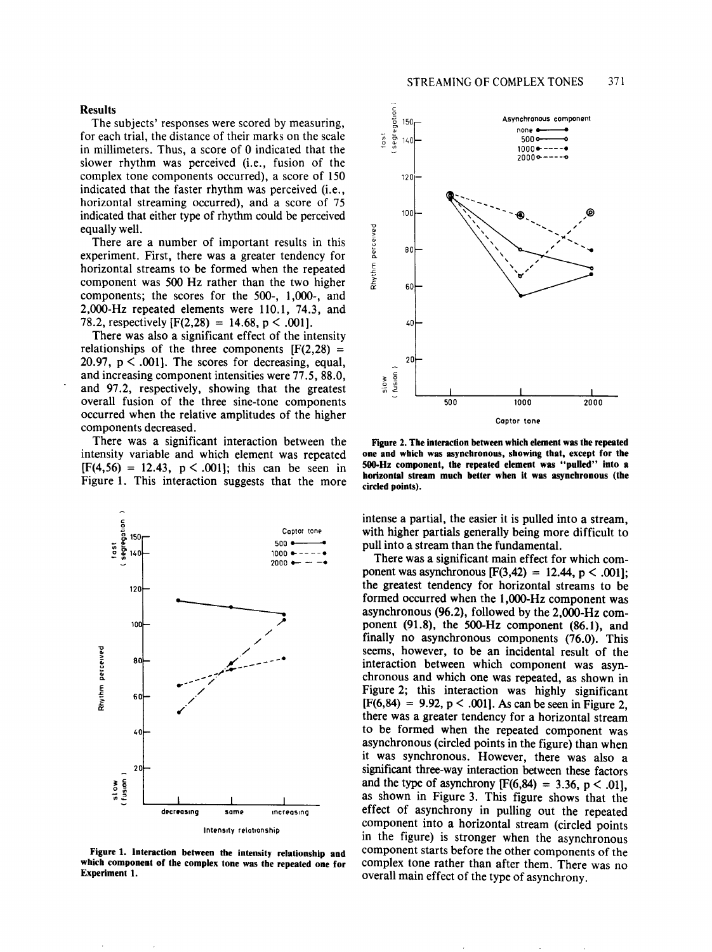## Results

The subjects' responses were scored by measuring, for each trial, the distance of their marks on the scale in millimeters. Thus, a score of 0 indicated that the slower rhythm was perceived (i.e., fusion of the complex tone components occurred), a score of 150 indicated that the faster rhythm was perceived (i.e., horizontal streaming occurred), and a score of 75 indicated that either type of rhythm could be perceived equally well.

There are a number of important results in this experiment. First, there was a greater tendency for horizontal streams to be formed when the repeated component was 500 Hz rather than the two higher components; the scores for the 500-, 1,000-, and 2,000-Hz repeated elements were 110.1, 74.3, and 78.2, respectively  $[F(2,28) = 14.68, p \le .001]$ .

There was also a significant effect of the intensity relationships of the three components  $[F(2,28) =$ 20.97,  $p < .001$ ]. The scores for decreasing, equal, and increasing component intensities were 77.5, 88.0, and 97.2, respectively, showing that the greatest overall fusion of the three sine-tone components occurred when the relative amplitudes of the higher components decreased.

There was a significant interaction between the intensity variable and which element was repeated  $[F(4,56) = 12.43, p \lt .001]$ ; this can be seen in Figure 1. This interaction suggests that the more



**Figure 1. Interaction between the intensity relationship and which component of the complex tone was the repeated one for** Experiment 1.



**Figure 2. The interaction between which element was the** repeated **one and which was asynchronous, showing that, except for the** 500-Hz **component, the repeated element was "pulled" into** a **horizontal stream much better when it was asynchronous (the circled points).**

intense a partial, the easier it is pulled into a stream, with higher partials generally being more difficult to pull into a stream than the fundamental.

There was a significant main effect for which component was asynchronous  $[F(3,42) = 12.44, p < .001]$ ; the greatest tendency for horizontal streams to be formed occurred when the 1,000-Hz component was asynchronous (96.2), followed by the 2,000-Hz component (91.8), the 500-Hz component (86.1), and finally no asynchronous components (76.0). This seems, however, to be an incidental result of the interaction between which component was asynchronous and which one was repeated, as shown in Figure 2; this interaction was highly significant  $[F(6,84) = 9.92, p < .001]$ . As can be seen in Figure 2. there was a greater tendency for a horizontal stream to be formed when the repeated component was asynchronous (circled points in the figure) than when it was synchronous. However, there was also a significant three-way interaction between these factors and the type of asynchrony  $[F(6,84) = 3.36, p < .01]$ , as shown in Figure 3. This figure shows that the effect of asynchrony in pulling out the repeated component into a horizontal stream (circled points in the figure) is stronger when the asynchronous component starts before the other components of the complex tone rather than after them. There was no overall main effect of the type of asynchrony.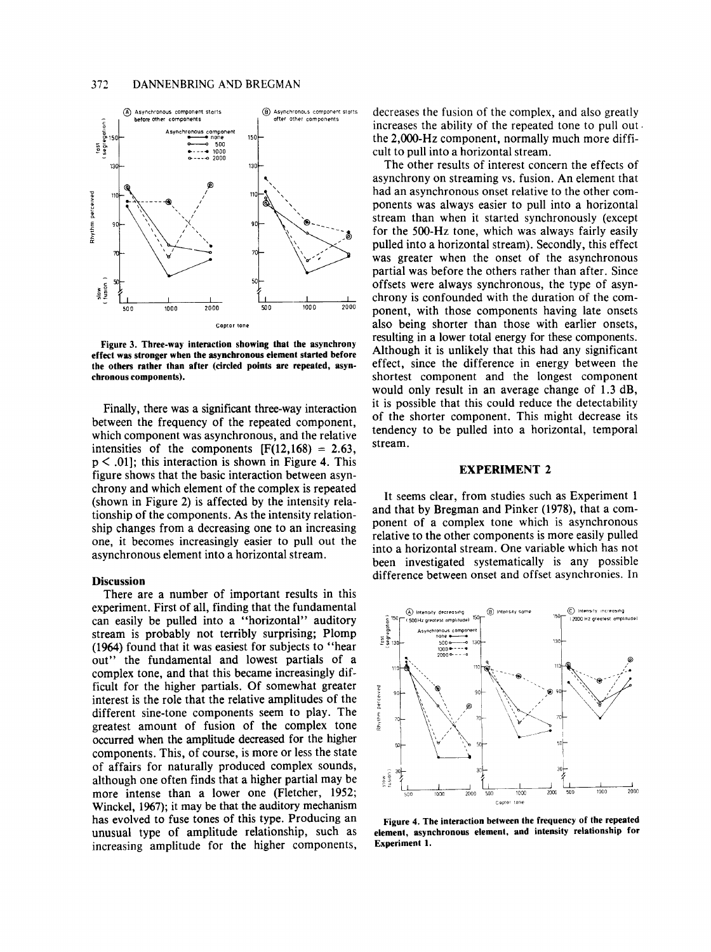

**Figure 3. Three-way interaction showing that the asynchrony effect was stronger when the asynchronous element started before the others rather than after (circled points are repeated, asynchronous components).**

Finally, there was a significant three-way interaction between the frequency of the repeated component, which component was asynchronous, and the relative intensities of the components  $[F(12,168) = 2.63]$ ,  $p < .01$ ; this interaction is shown in Figure 4. This figure shows that the basic interaction between asynchrony and which element of the complex is repeated (shown in Figure 2) is affected by the intensity relationship of the components. As the intensity relationship changes from a decreasing one to an increasing one, it becomes increasingly easier to pull out the asynchronous element into a horizontal stream.

## **Discussion**

There are a number of important results in this experiment. First of all, finding that the fundamental can easily be pulled into a "horizontal" auditory stream is probably not terribly surprising; Plomp (1964) found that it was easiest for subjects to "hear out" the fundamental and lowest partials of a complex tone, and that this became increasingly difficult for the higher partials. Of somewhat greater interest is the role that the relative amplitudes of the different sine-tone components seem to play. The greatest amount of fusion of the complex tone occurred when the amplitude decreased for the higher components. This, of course, is more or less the state of affairs for naturally produced complex sounds, although one often finds that a higher partial may be more intense than a lower one (Fletcher, 1952; Winckel, 1967); it may be that the auditory mechanism has evolved to fuse tones of this type. Producing an unusual type of amplitude relationship, such as increasing amplitude for the higher components,

decreases the fusion of the complex, and also greatly increases the ability of the repeated tone to pull out. the 2,000-Hz component, normally much more difficult to pull into a horizontal stream.

The other results of interest concern the effects of asynchrony on streaming vs. fusion. An element that had an asynchronous onset relative to the other components was always easier to pull into a horizontal stream than when it started synchronously (except for the 500-Hz tone, which was always fairly easily pulled into a horizontal stream). Secondly, this effect was greater when the onset of the asynchronous partial was before the others rather than after. Since offsets were always synchronous, the type of asynchrony is confounded with the duration of the component, with those components having late onsets also being shorter than those with earlier onsets, resulting in a lower total energy for these components. Although it is unlikely that this had any significant effect, since the difference in energy between the shortest component and the longest component would only result in an average change of 1.3 dB, it is possible that this could reduce the detectability of the shorter component. This might decrease its tendency to be pulled into a horizontal, temporal stream.

### **EXPERIMENT 2**

It seems clear, from studies such as Experiment 1 and that by Bregman and Pinker (1978), that a component of a complex tone which is asynchronous relative to the other components is more easily pulled into a horizontal stream. One variable which has not been investigated systematically is any possible difference between onset and offset asynchronies. In



**Figure 4. The interaction between the frequency of the repeated element, asynchronous element, and intensity relationship for Experiment** 1.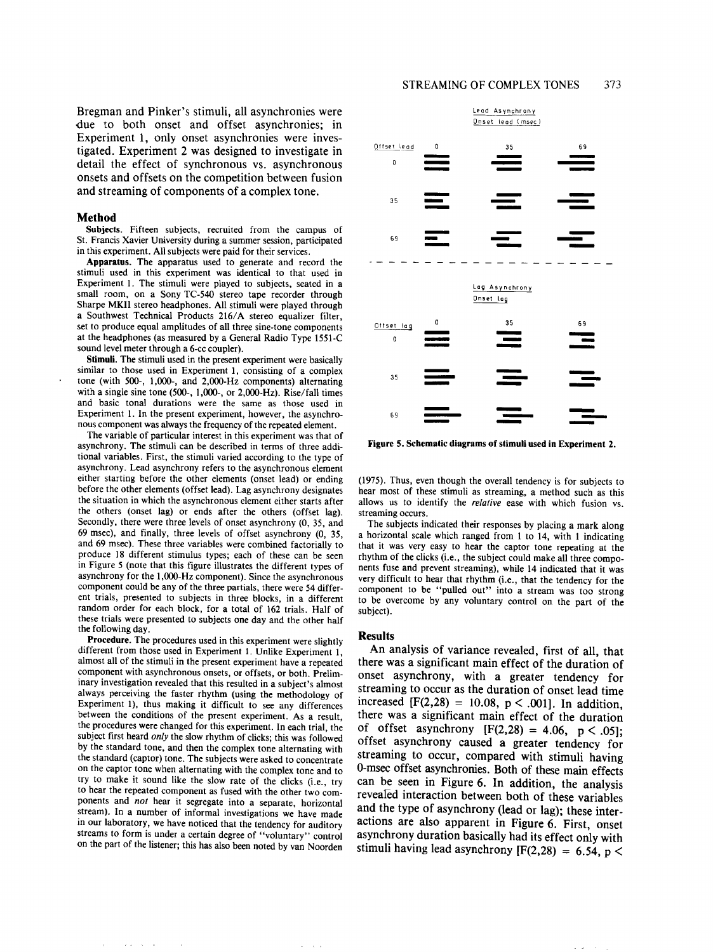**Bregman and Pinker's stimuli, all asynchronies were due to both onset and offset asynchronies; in Experiment 1, only onset asynchronies were investigated. Experiment 2 was designed to investigate in detail the effect of synchronous vs. asynchronous onsets and offsets on the competition between fusion and streaming of components of a complex tone.**

## **Method**

**Subjects.** Fifteen subjects, recruited from the campus of St. Francis Xavier University during a summer session, participated in this experiment. All subjects were paid for their services.

**Apparatus.** The apparatus used to generate and record the stimuli used in this experiment was identical to that used in Experiment I. The stimuli were played to subjects, seated in a small room, on a Sony TC-540 stereo tape recorder through Sharpe MKII stereo headphones. All stimuli were played through a Southwest Technical Products 216/A stereo equalizer filter, set to produce equal amplitudes of all three sine-tone components at the headphones (as measured by a General Radio Type 1551-C sound level meter through a 6-cc coupler).

Stimuli. The stimuli used in the present experiment were basically similar to those used in Experiment 1, consisting of a complex tone (with 500-, 1,000-, and 2,000-Hz components) alternating with a single sine tone (500-, 1,000-, or 2,000-Hz). Rise/fall times and basic tonal durations were the same as those used in Experiment 1. In the present experiment, however, the asynchronous component was always the frequency of the repeated element.

The variable of particular interest in this experiment was that of asynchrony. The stimuli can be described in terms of three additional variables. First, the stimuli varied according to the type of asynchrony. Lead asynchrony refers to the asynchronous element either starting before the other elements (onset lead) or ending before the other elements (offset lead). Lag asynchrony designates the situation in which the asynchronous element either starts after the others (onset lag) or ends after the others (offset lag). Secondly, there were three levels of onset asynchrony (0, 35, and 69 msec), and finally, three levels of offset asynchrony (0, 35, and 69 msec). These three variables were combined factorially to produce 18 different stimulus types; each of these can be seen in Figure 5 (note that this figure illustrates the different types of asynchrony for the 1,000-Hz component). Since the asynchronous component could be any of the three partials, there were 54 different trials, presented to subjects in three blocks, in a different random order for each block, for a total of 162 trials. Half of these trials were presented to subjects one day and the other half the following day.

**Procedure.** The procedures used in this experiment were slightly different from those used in Experiment 1. Unlike Experiment l, almost all of the stimuli in the present experiment have a repeated component with asynchronous onsets, or offsets, or both. Preliminary investigation revealed that this resulted in a subject's almost always perceiving the faster rhythm (using the methodology of Experiment 1), thus making it difficult to see any differences between the conditions of the present experiment. As a result, the procedures were changed for this experiment. In each trial, the subject first heard *only* the slow rhythm of clicks; this was followed by the standard tone, and then the complex tone alternating with the standard (captor) tone. The subjects were asked to concentrate on the captor tone when alternating with the complex tone and to try to make it sound like the slow rate of the clicks (i.e., try to hear the repeated component as fused with the other two components and *not* hear it segregate into a separate, horizontal stream). In a number of informal investigations we have made in our laboratory, we have noticed that the tendency for auditory streams to form is under a certain degree of "voluntary" control on the part of the listener; this has also been noted by van Noorden



**Figure 5. Schematic diagrams of stimuli used in Experiment 2.**

(1975). Thus, even though the overall tendency is for subjects to hear most of these stimuli as streaming, a method such as this allows us to identify the *relative* ease with which fusion vs. streaming occurs.

The subjects indicated their responses by placing a mark along a horizontal scale which ranged from 1 to 14, with 1 indicating that it was very easy to hear the captor tone repeating at the rhythm of the clicks (i.e., the subject could make all three components fuse and prevent streaming), while 14 indicated that it was very difficult to hear that rhythm (i.e., that the tendency for the component to be "pulled out" into a stream was too strong to be overcome by any voluntary control on the part of the subject).

## **Results**

**An analysis of variance revealed, first of all, that there was a significant main effect of the duration of onset asynchrony, with a greater tendency for streaming to occur as the duration of onset lead time increased [F(2,28) = 10.08, p < .001]. In addition, there was a significant main effect of the duration** of offset asynchrony  $[F(2,28) = 4.06, p < .05]$ ; **offset asynchrony caused a greater tendency for streaming to occur, compared with stimuli having** 0-msec offset asynchronies. Both of these main effects **can be seen in Figure 6. In addition, the analysis revealed interaction between both of these variables and the type of asynchrony (lead or lag); these interactions are also apparent in Figure 6. First, onset asynchrony duration basically had its effect only with stimuli having lead asynchrony [F(2,28) = 6.54, p <**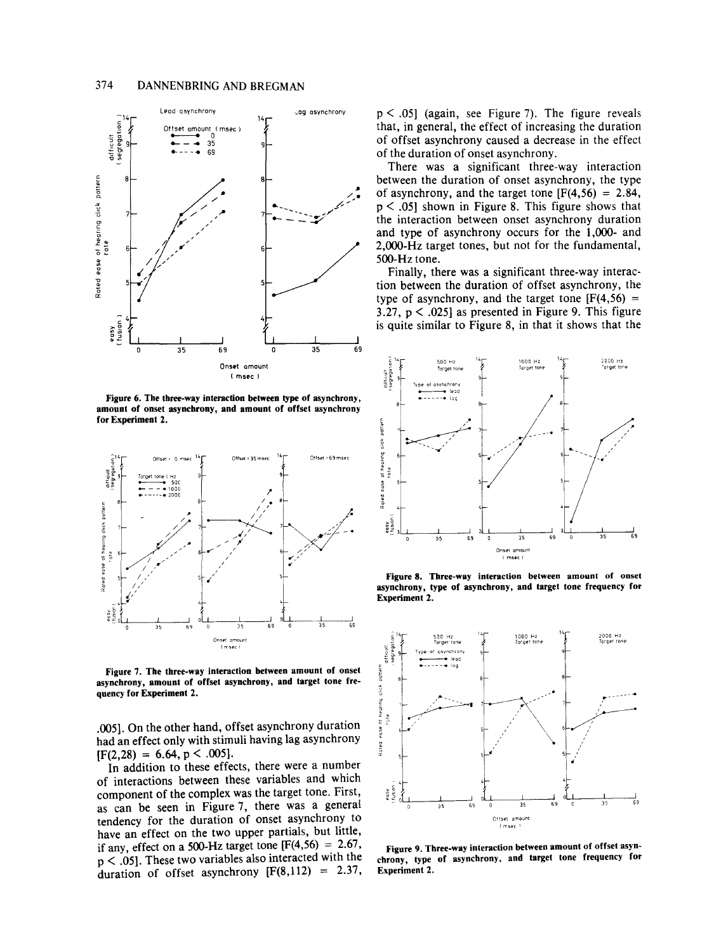

**Figure 6. The three-way interaction between type of asynchrony, amount of onset asynchrony, and amount of offset asynchrony for** Experiment 2.



**Figure 7. The three-way interaction between amount of onset asynchrony, amount of offset asynchrony, and target tone frequency for** Experiment 2.

**.005]. On the other hand, offset asynchrony duration had an effect only with stimuli having lag asynchrony**  $[F(2,28) = 6.64, p \le .005].$ 

**In addition to these effects, there were a number of interactions between these variables and which component of the complex was the target tone. First, as can be seen in Figure 7, there was a general tendency for the duration of onset asynchrony to have an effect on the two upper partials, but little,** if any, effect on a 500-Hz target tone  $[F(4,56) = 2.67,$ **p < .05]. These two variables also interacted with the duration of offset asynchrony [F(8,112) = 2.37,**

 $p < .05$ ] (again, see Figure 7). The figure reveals that, in general, the effect of increasing the duration of offset asynchrony caused a decrease in the effect of the duration of onset asynchrony.

There was a significant three-way interaction between the duration of onset asynchrony, the type of asynchrony, and the target tone  $[F(4,56) = 2.84]$ ,  $p < .05$ ] shown in Figure 8. This figure shows that the interaction between onset asynchrony duration and type of asynchrony occurs for the 1,000- and 2,000-Hz target tones, but not for the fundamental, 500-Hz tone.

Finally, there was a significant three-way interaction between the duration of offset asynchrony, the type of asynchrony, and the target tone  $[F(4,56) =$ 3.27,  $p < .025$ ] as presented in Figure 9. This figure is quite similar to Figure 8, in that it shows that the



**Figure 8. Three-way interaction between amount of onset asynchrony, type of asynchrony, and target tone frequency for** Experiment 2.



**Figure 9. Three-way interaction between amount of offset asynchrony, type of asynchrony, and target tone frequency for** Experiment 2.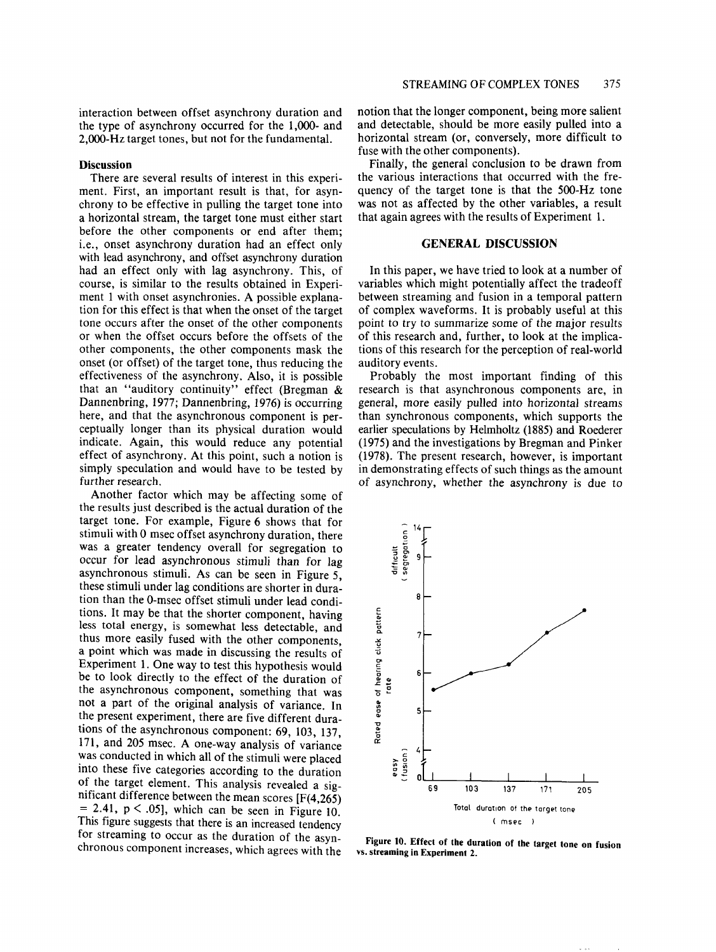interaction between offset asynchrony duration and the type of asynchrony occurred for the 1,000- and 2,000-Hz target tones, but not for the fundamental.

## **Discussion**

There are several results of interest in this experiment. First, an important result is that, for asynchrony to be effective in pulling the target tone into a horizontal stream, the target tone must either start before the other components or end after them; i.e., onset asynchrony duration had an effect only with lead asynchrony, and offset asynchrony duration had an effect only with lag asynchrony. This, of course, is similar to the results obtained in Experiment 1 with onset asynchronies. A possible explanation for this effect is that when the onset of the target tone occurs after the onset of the other components or when the offset occurs before the offsets of the other components, the other components mask the onset (or offset) of the target tone, thus reducing the effectiveness of the asynchrony. Also, it is possible that an "auditory continuity" effect (Bregman & Dannenbring, 1977; Dannenbring, 1976) is occurring here, and that the asynchronous component is perceptually longer than its physical duration would indicate. Again, this would reduce any potential effect of asynchrony. At this point, such a notion is simply speculation and would have to be tested by further research.

Another factor which may be affecting some of the results just described is the actual duration of the target tone. For example, Figure 6 shows that for stimuli with 0 msec offset asynchrony duration, there was a greater tendency overall for segregation to occur for lead asynchronous stimuli than for lag asynchronous stimuli. As can be seen in Figure 5, these stimuli under lag conditions are shorter in duration than the 0-msec offset stimuli under lead conditions. It may be that the shorter component, having less total energy, is somewhat less detectable, and thus more easily fused with the other components, a point which was made in discussing the results of Experiment 1. One way to test this hypothesis would be to look directly to the effect of the duration of the asynchronous component, something that was not a part of the original analysis of variance. In the present experiment, there are five different durations of the asynchronous component: 69, 103, 137, 171, and 205 msec. A one-way analysis of variance was conducted in which all of the stimuli were placed into these five categories according to the duration of the target element. This analysis revealed a significant difference between the mean scores [F(4,265)  $= 2.41$ ,  $p < .05$ ], which can be seen in Figure 10. This figure suggests that there is an increased tendency for streaming to occur as the duration of the asynchronous component increases, which agrees with the

notion that the longer component, being more salient and detectable, should be more easily pulled into a horizontal stream (or, conversely, more difficult to fuse with the other components).

Finally, the general conclusion to be drawn from the various interactions that occurred with the frequency of the target tone is that the 500-Hz tone was not as affected by the other variables, a result that again agrees with the results of Experiment 1.

## GENERAL DISCUSSION

In this paper, we have tried to look at a number of variables which might potentially affect the tradeoff between streaming and fusion in a temporal pattern of complex waveforms. It is probably useful at this point to try to summarize some of the major results of this research and, further, to look at the implications of this research for the perception of real-world auditory events.

Probably the most important finding of this research is that asynchronous components are, in general, more easily pulled into horizontal streams than synchronous components, which supports the earlier speculations by Helmholtz (1885) and Roederer (1975) and the investigations by Bregman and Pinker (1978). The present research, however, is important in demonstrating effects of such things as the amount of asynchrony, whether the asynchrony is due to



**Figure 10. Effect of the duration of the target tone on fusion vs. streaming in Experiment** 2.